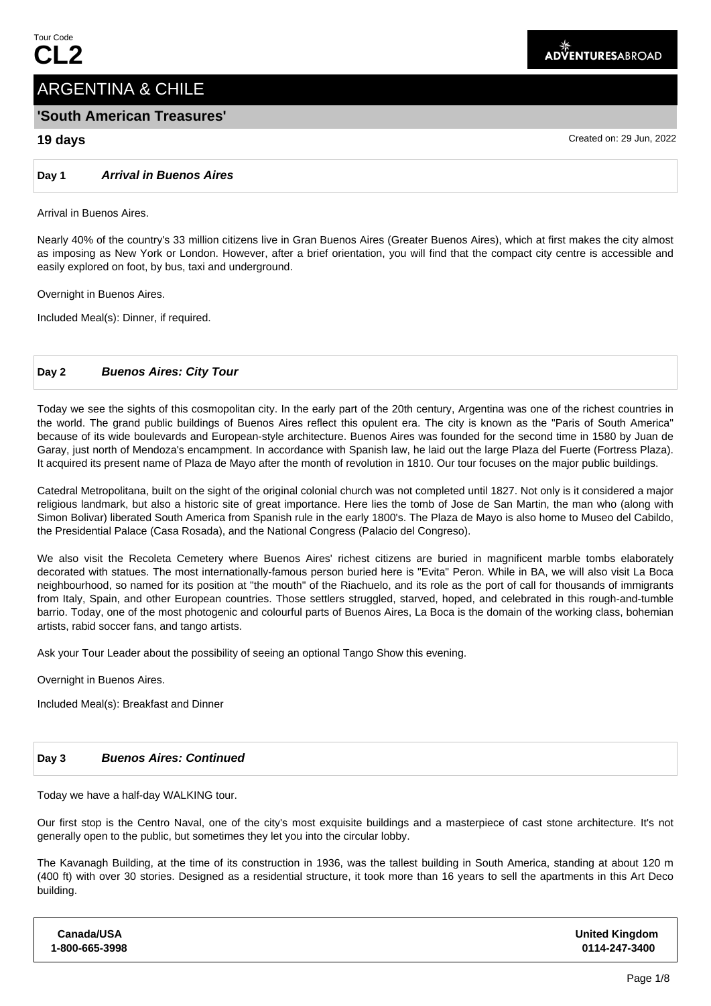# ARGENTINA & CHILE

# **'South American Treasures'**

# **19 days** Created on: 29 Jun, 2022

**Day 1 Arrival in Buenos Aires**

Arrival in Buenos Aires.

Nearly 40% of the country's 33 million citizens live in Gran Buenos Aires (Greater Buenos Aires), which at first makes the city almost as imposing as New York or London. However, after a brief orientation, you will find that the compact city centre is accessible and easily explored on foot, by bus, taxi and underground.

Overnight in Buenos Aires.

Included Meal(s): Dinner, if required.

# **Day 2 Buenos Aires: City Tour**

Today we see the sights of this cosmopolitan city. In the early part of the 20th century, Argentina was one of the richest countries in the world. The grand public buildings of Buenos Aires reflect this opulent era. The city is known as the "Paris of South America" because of its wide boulevards and European-style architecture. Buenos Aires was founded for the second time in 1580 by Juan de Garay, just north of Mendoza's encampment. In accordance with Spanish law, he laid out the large Plaza del Fuerte (Fortress Plaza). It acquired its present name of Plaza de Mayo after the month of revolution in 1810. Our tour focuses on the major public buildings.

Catedral Metropolitana, built on the sight of the original colonial church was not completed until 1827. Not only is it considered a major religious landmark, but also a historic site of great importance. Here lies the tomb of Jose de San Martin, the man who (along with Simon Bolivar) liberated South America from Spanish rule in the early 1800's. The Plaza de Mayo is also home to Museo del Cabildo, the Presidential Palace (Casa Rosada), and the National Congress (Palacio del Congreso).

We also visit the Recoleta Cemetery where Buenos Aires' richest citizens are buried in magnificent marble tombs elaborately decorated with statues. The most internationally-famous person buried here is "Evita" Peron. While in BA, we will also visit La Boca neighbourhood, so named for its position at "the mouth" of the Riachuelo, and its role as the port of call for thousands of immigrants from Italy, Spain, and other European countries. Those settlers struggled, starved, hoped, and celebrated in this rough-and-tumble barrio. Today, one of the most photogenic and colourful parts of Buenos Aires, La Boca is the domain of the working class, bohemian artists, rabid soccer fans, and tango artists.

Ask your Tour Leader about the possibility of seeing an optional Tango Show this evening.

Overnight in Buenos Aires.

Included Meal(s): Breakfast and Dinner

## **Day 3 Buenos Aires: Continued**

Today we have a half-day WALKING tour.

Our first stop is the Centro Naval, one of the city's most exquisite buildings and a masterpiece of cast stone architecture. It's not generally open to the public, but sometimes they let you into the circular lobby.

The Kavanagh Building, at the time of its construction in 1936, was the tallest building in South America, standing at about 120 m (400 ft) with over 30 stories. Designed as a residential structure, it took more than 16 years to sell the apartments in this Art Deco building.

| Canada/USA     | <b>United Kingdom</b> |
|----------------|-----------------------|
| 1-800-665-3998 | 0114-247-3400         |
|                |                       |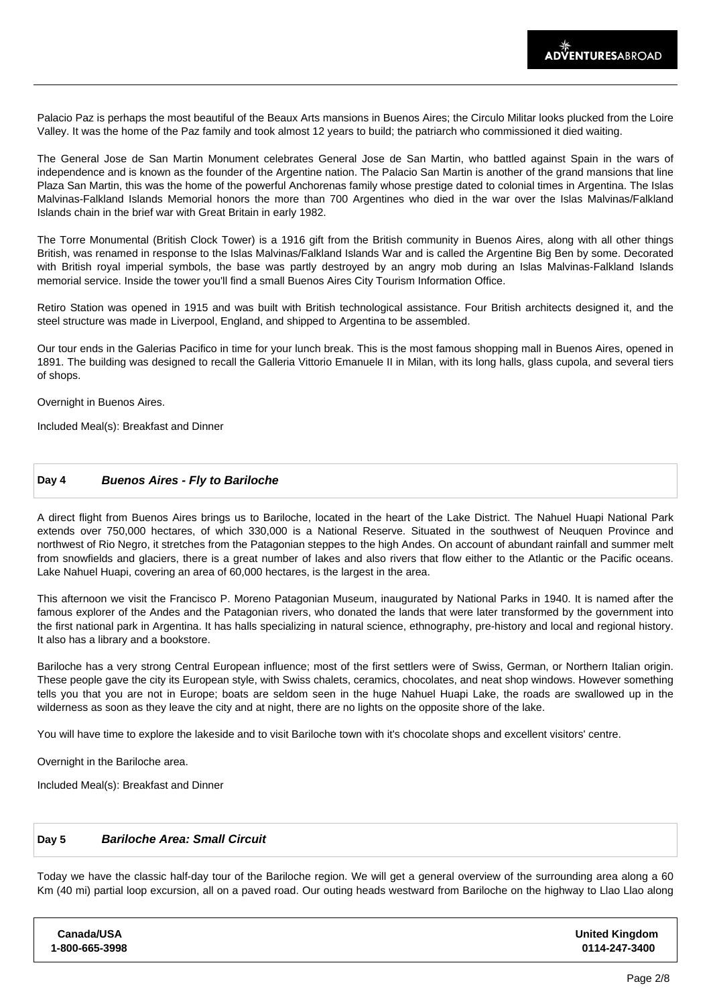Palacio Paz is perhaps the most beautiful of the Beaux Arts mansions in Buenos Aires; the Circulo Militar looks plucked from the Loire Valley. It was the home of the Paz family and took almost 12 years to build; the patriarch who commissioned it died waiting.

The General Jose de San Martin Monument celebrates General Jose de San Martin, who battled against Spain in the wars of independence and is known as the founder of the Argentine nation. The Palacio San Martin is another of the grand mansions that line Plaza San Martin, this was the home of the powerful Anchorenas family whose prestige dated to colonial times in Argentina. The Islas Malvinas-Falkland Islands Memorial honors the more than 700 Argentines who died in the war over the Islas Malvinas/Falkland Islands chain in the brief war with Great Britain in early 1982.

The Torre Monumental (British Clock Tower) is a 1916 gift from the British community in Buenos Aires, along with all other things British, was renamed in response to the Islas Malvinas/Falkland Islands War and is called the Argentine Big Ben by some. Decorated with British royal imperial symbols, the base was partly destroyed by an angry mob during an Islas Malvinas-Falkland Islands memorial service. Inside the tower you'll find a small Buenos Aires City Tourism Information Office.

Retiro Station was opened in 1915 and was built with British technological assistance. Four British architects designed it, and the steel structure was made in Liverpool, England, and shipped to Argentina to be assembled.

Our tour ends in the Galerias Pacifico in time for your lunch break. This is the most famous shopping mall in Buenos Aires, opened in 1891. The building was designed to recall the Galleria Vittorio Emanuele II in Milan, with its long halls, glass cupola, and several tiers of shops.

Overnight in Buenos Aires.

Included Meal(s): Breakfast and Dinner

## **Day 4 Buenos Aires - Fly to Bariloche**

A direct flight from Buenos Aires brings us to Bariloche, located in the heart of the Lake District. The Nahuel Huapi National Park extends over 750,000 hectares, of which 330,000 is a National Reserve. Situated in the southwest of Neuquen Province and northwest of Rio Negro, it stretches from the Patagonian steppes to the high Andes. On account of abundant rainfall and summer melt from snowfields and glaciers, there is a great number of lakes and also rivers that flow either to the Atlantic or the Pacific oceans. Lake Nahuel Huapi, covering an area of 60,000 hectares, is the largest in the area.

This afternoon we visit the Francisco P. Moreno Patagonian Museum, inaugurated by National Parks in 1940. It is named after the famous explorer of the Andes and the Patagonian rivers, who donated the lands that were later transformed by the government into the first national park in Argentina. It has halls specializing in natural science, ethnography, pre-history and local and regional history. It also has a library and a bookstore.

Bariloche has a very strong Central European influence; most of the first settlers were of Swiss, German, or Northern Italian origin. These people gave the city its European style, with Swiss chalets, ceramics, chocolates, and neat shop windows. However something tells you that you are not in Europe; boats are seldom seen in the huge Nahuel Huapi Lake, the roads are swallowed up in the wilderness as soon as they leave the city and at night, there are no lights on the opposite shore of the lake.

You will have time to explore the lakeside and to visit Bariloche town with it's chocolate shops and excellent visitors' centre.

Overnight in the Bariloche area.

Included Meal(s): Breakfast and Dinner

# **Day 5 Bariloche Area: Small Circuit**

Today we have the classic half-day tour of the Bariloche region. We will get a general overview of the surrounding area along a 60 Km (40 mi) partial loop excursion, all on a paved road. Our outing heads westward from Bariloche on the highway to Llao Llao along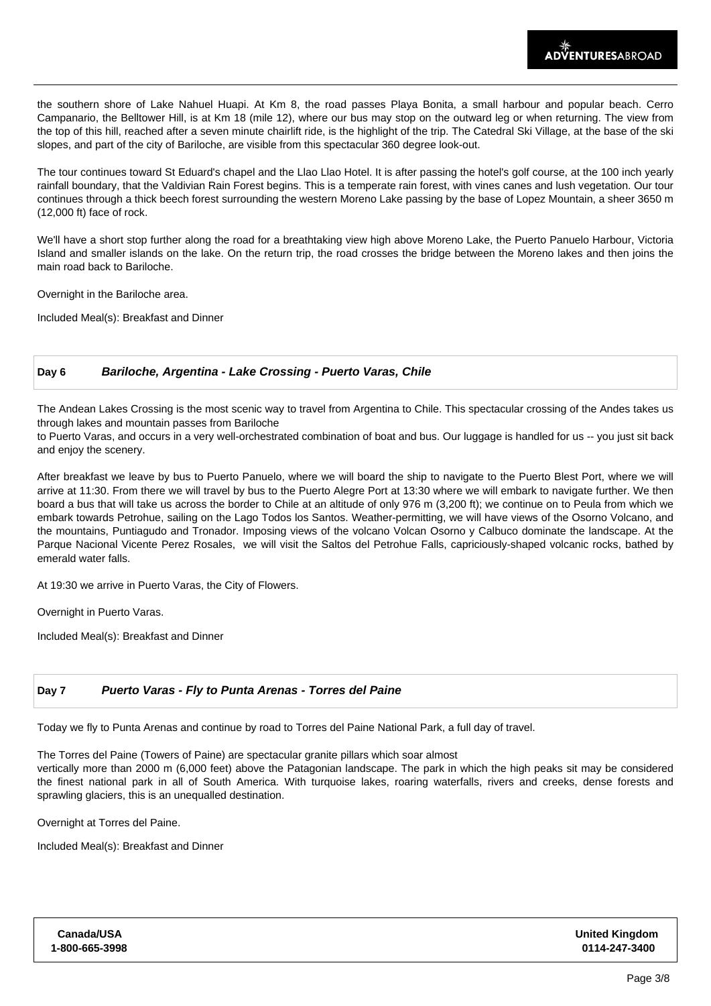the southern shore of Lake Nahuel Huapi. At Km 8, the road passes Playa Bonita, a small harbour and popular beach. Cerro Campanario, the Belltower Hill, is at Km 18 (mile 12), where our bus may stop on the outward leg or when returning. The view from the top of this hill, reached after a seven minute chairlift ride, is the highlight of the trip. The Catedral Ski Village, at the base of the ski slopes, and part of the city of Bariloche, are visible from this spectacular 360 degree look-out.

The tour continues toward St Eduard's chapel and the Llao Llao Hotel. It is after passing the hotel's golf course, at the 100 inch yearly rainfall boundary, that the Valdivian Rain Forest begins. This is a temperate rain forest, with vines canes and lush vegetation. Our tour continues through a thick beech forest surrounding the western Moreno Lake passing by the base of Lopez Mountain, a sheer 3650 m (12,000 ft) face of rock.

We'll have a short stop further along the road for a breathtaking view high above Moreno Lake, the Puerto Panuelo Harbour, Victoria Island and smaller islands on the lake. On the return trip, the road crosses the bridge between the Moreno lakes and then joins the main road back to Bariloche.

Overnight in the Bariloche area.

Included Meal(s): Breakfast and Dinner

## **Day 6 Bariloche, Argentina - Lake Crossing - Puerto Varas, Chile**

The Andean Lakes Crossing is the most scenic way to travel from Argentina to Chile. This spectacular crossing of the Andes takes us through lakes and mountain passes from Bariloche

to Puerto Varas, and occurs in a very well-orchestrated combination of boat and bus. Our luggage is handled for us -- you just sit back and enjoy the scenery.

After breakfast we leave by bus to Puerto Panuelo, where we will board the ship to navigate to the Puerto Blest Port, where we will arrive at 11:30. From there we will travel by bus to the Puerto Alegre Port at 13:30 where we will embark to navigate further. We then board a bus that will take us across the border to Chile at an altitude of only 976 m (3,200 ft); we continue on to Peula from which we embark towards Petrohue, sailing on the Lago Todos los Santos. Weather-permitting, we will have views of the Osorno Volcano, and the mountains, Puntiagudo and Tronador. Imposing views of the volcano Volcan Osorno y Calbuco dominate the landscape. At the Parque Nacional Vicente Perez Rosales, we will visit the Saltos del Petrohue Falls, capriciously-shaped volcanic rocks, bathed by emerald water falls.

At 19:30 we arrive in Puerto Varas, the City of Flowers.

Overnight in Puerto Varas.

Included Meal(s): Breakfast and Dinner

# **Day 7 Puerto Varas - Fly to Punta Arenas - Torres del Paine**

Today we fly to Punta Arenas and continue by road to Torres del Paine National Park, a full day of travel.

The Torres del Paine (Towers of Paine) are spectacular granite pillars which soar almost

vertically more than 2000 m (6,000 feet) above the Patagonian landscape. The park in which the high peaks sit may be considered the finest national park in all of South America. With turquoise lakes, roaring waterfalls, rivers and creeks, dense forests and sprawling glaciers, this is an unequalled destination.

Overnight at Torres del Paine.

Included Meal(s): Breakfast and Dinner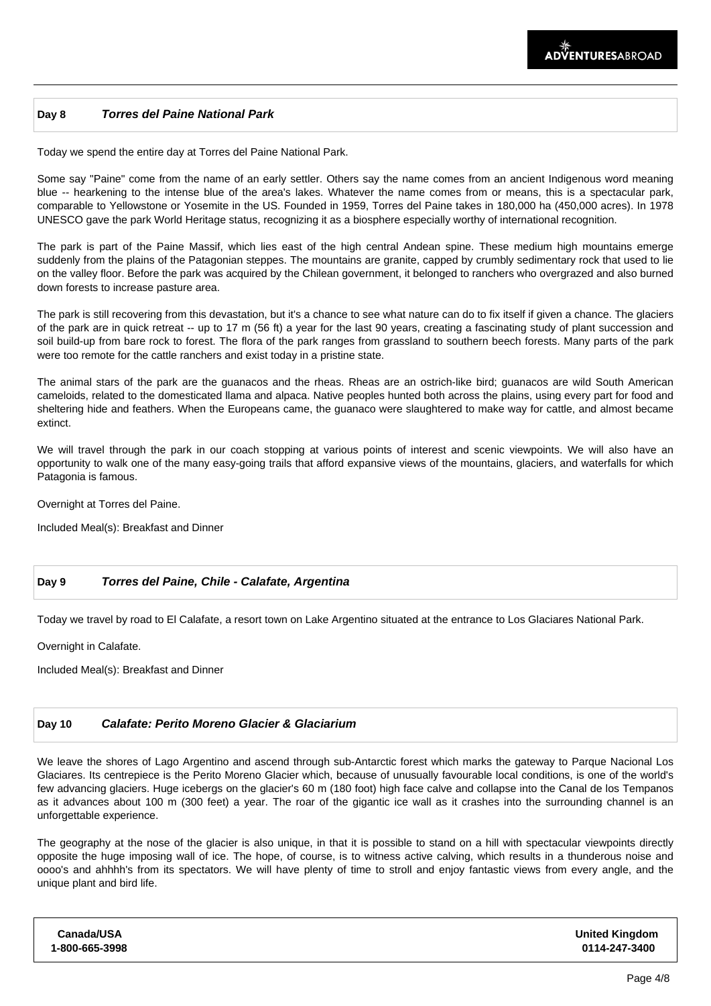#### **Day 8 Torres del Paine National Park**

Today we spend the entire day at Torres del Paine National Park.

Some say "Paine" come from the name of an early settler. Others say the name comes from an ancient Indigenous word meaning blue -- hearkening to the intense blue of the area's lakes. Whatever the name comes from or means, this is a spectacular park, comparable to Yellowstone or Yosemite in the US. Founded in 1959, Torres del Paine takes in 180,000 ha (450,000 acres). In 1978 UNESCO gave the park World Heritage status, recognizing it as a biosphere especially worthy of international recognition.

The park is part of the Paine Massif, which lies east of the high central Andean spine. These medium high mountains emerge suddenly from the plains of the Patagonian steppes. The mountains are granite, capped by crumbly sedimentary rock that used to lie on the valley floor. Before the park was acquired by the Chilean government, it belonged to ranchers who overgrazed and also burned down forests to increase pasture area.

The park is still recovering from this devastation, but it's a chance to see what nature can do to fix itself if given a chance. The glaciers of the park are in quick retreat -- up to 17 m (56 ft) a year for the last 90 years, creating a fascinating study of plant succession and soil build-up from bare rock to forest. The flora of the park ranges from grassland to southern beech forests. Many parts of the park were too remote for the cattle ranchers and exist today in a pristine state.

The animal stars of the park are the guanacos and the rheas. Rheas are an ostrich-like bird; guanacos are wild South American cameloids, related to the domesticated llama and alpaca. Native peoples hunted both across the plains, using every part for food and sheltering hide and feathers. When the Europeans came, the guanaco were slaughtered to make way for cattle, and almost became extinct.

We will travel through the park in our coach stopping at various points of interest and scenic viewpoints. We will also have an opportunity to walk one of the many easy-going trails that afford expansive views of the mountains, glaciers, and waterfalls for which Patagonia is famous.

Overnight at Torres del Paine.

Included Meal(s): Breakfast and Dinner

## **Day 9 Torres del Paine, Chile - Calafate, Argentina**

Today we travel by road to El Calafate, a resort town on Lake Argentino situated at the entrance to Los Glaciares National Park.

Overnight in Calafate.

Included Meal(s): Breakfast and Dinner

## **Day 10 Calafate: Perito Moreno Glacier & Glaciarium**

We leave the shores of Lago Argentino and ascend through sub-Antarctic forest which marks the gateway to Parque Nacional Los Glaciares. Its centrepiece is the Perito Moreno Glacier which, because of unusually favourable local conditions, is one of the world's few advancing glaciers. Huge icebergs on the glacier's 60 m (180 foot) high face calve and collapse into the Canal de los Tempanos as it advances about 100 m (300 feet) a year. The roar of the gigantic ice wall as it crashes into the surrounding channel is an unforgettable experience.

The geography at the nose of the glacier is also unique, in that it is possible to stand on a hill with spectacular viewpoints directly opposite the huge imposing wall of ice. The hope, of course, is to witness active calving, which results in a thunderous noise and oooo's and ahhhh's from its spectators. We will have plenty of time to stroll and enjoy fantastic views from every angle, and the unique plant and bird life.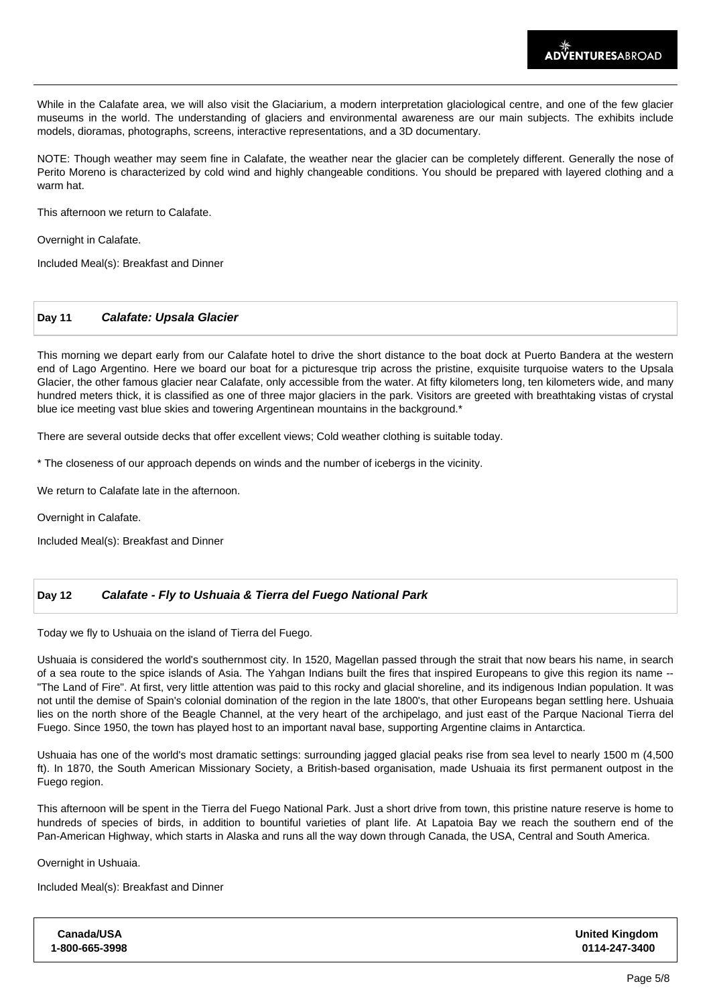While in the Calafate area, we will also visit the Glaciarium, a modern interpretation glaciological centre, and one of the few glacier museums in the world. The understanding of glaciers and environmental awareness are our main subjects. The exhibits include models, dioramas, photographs, screens, interactive representations, and a 3D documentary.

NOTE: Though weather may seem fine in Calafate, the weather near the glacier can be completely different. Generally the nose of Perito Moreno is characterized by cold wind and highly changeable conditions. You should be prepared with layered clothing and a warm hat.

This afternoon we return to Calafate.

Overnight in Calafate.

Included Meal(s): Breakfast and Dinner

## **Day 11 Calafate: Upsala Glacier**

This morning we depart early from our Calafate hotel to drive the short distance to the boat dock at Puerto Bandera at the western end of Lago Argentino. Here we board our boat for a picturesque trip across the pristine, exquisite turquoise waters to the Upsala Glacier, the other famous glacier near Calafate, only accessible from the water. At fifty kilometers long, ten kilometers wide, and many hundred meters thick, it is classified as one of three major glaciers in the park. Visitors are greeted with breathtaking vistas of crystal blue ice meeting vast blue skies and towering Argentinean mountains in the background.\*

There are several outside decks that offer excellent views; Cold weather clothing is suitable today.

\* The closeness of our approach depends on winds and the number of icebergs in the vicinity.

We return to Calafate late in the afternoon.

Overnight in Calafate.

Included Meal(s): Breakfast and Dinner

## **Day 12 Calafate - Fly to Ushuaia & Tierra del Fuego National Park**

Today we fly to Ushuaia on the island of Tierra del Fuego.

Ushuaia is considered the world's southernmost city. In 1520, Magellan passed through the strait that now bears his name, in search of a sea route to the spice islands of Asia. The Yahgan Indians built the fires that inspired Europeans to give this region its name -- "The Land of Fire". At first, very little attention was paid to this rocky and glacial shoreline, and its indigenous Indian population. It was not until the demise of Spain's colonial domination of the region in the late 1800's, that other Europeans began settling here. Ushuaia lies on the north shore of the Beagle Channel, at the very heart of the archipelago, and just east of the Parque Nacional Tierra del Fuego. Since 1950, the town has played host to an important naval base, supporting Argentine claims in Antarctica.

Ushuaia has one of the world's most dramatic settings: surrounding jagged glacial peaks rise from sea level to nearly 1500 m (4,500 ft). In 1870, the South American Missionary Society, a British-based organisation, made Ushuaia its first permanent outpost in the Fuego region.

This afternoon will be spent in the Tierra del Fuego National Park. Just a short drive from town, this pristine nature reserve is home to hundreds of species of birds, in addition to bountiful varieties of plant life. At Lapatoia Bay we reach the southern end of the Pan-American Highway, which starts in Alaska and runs all the way down through Canada, the USA, Central and South America.

Overnight in Ushuaia.

Included Meal(s): Breakfast and Dinner

| <b>Canada/USA</b> | <b>United Kingdom</b> |
|-------------------|-----------------------|
| 1-800-665-3998    | 0114-247-3400         |
|                   |                       |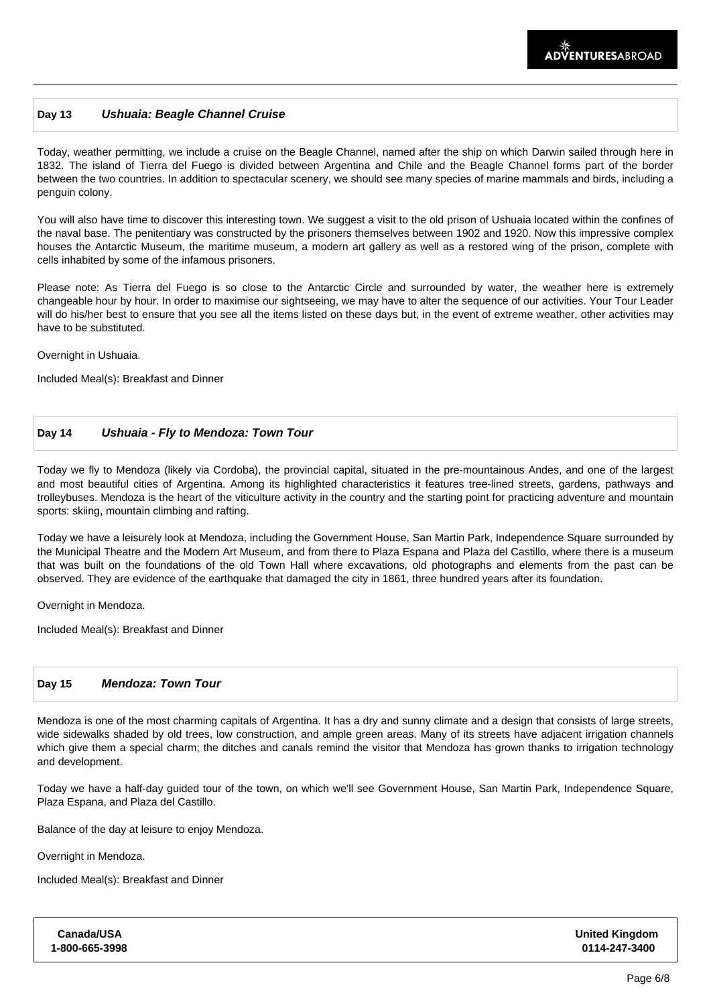## **Day 13 Ushuaia: Beagle Channel Cruise**

Today, weather permitting, we include a cruise on the Beagle Channel, named after the ship on which Darwin sailed through here in 1832. The island of Tierra del Fuego is divided between Argentina and Chile and the Beagle Channel forms part of the border between the two countries. In addition to spectacular scenery, we should see many species of marine mammals and birds, including a penguin colony.

You will also have time to discover this interesting town. We suggest a visit to the old prison of Ushuaia located within the confines of the naval base. The penitentiary was constructed by the prisoners themselves between 1902 and 1920. Now this impressive complex houses the Antarctic Museum, the maritime museum, a modern art gallery as well as a restored wing of the prison, complete with cells inhabited by some of the infamous prisoners.

Please note: As Tierra del Fuego is so close to the Antarctic Circle and surrounded by water, the weather here is extremely changeable hour by hour. In order to maximise our sightseeing, we may have to alter the sequence of our activities. Your Tour Leader will do his/her best to ensure that you see all the items listed on these days but, in the event of extreme weather, other activities may have to be substituted.

Overnight in Ushuaia.

Included Meal(s): Breakfast and Dinner

#### **Day 14 Ushuaia - Fly to Mendoza: Town Tour**

Today we fly to Mendoza (likely via Cordoba), the provincial capital, situated in the pre-mountainous Andes, and one of the largest and most beautiful cities of Argentina. Among its highlighted characteristics it features tree-lined streets, gardens, pathways and trolleybuses. Mendoza is the heart of the viticulture activity in the country and the starting point for practicing adventure and mountain sports: skiing, mountain climbing and rafting.

Today we have a leisurely look at Mendoza, including the Government House, San Martin Park, Independence Square surrounded by the Municipal Theatre and the Modern Art Museum, and from there to Plaza Espana and Plaza del Castillo, where there is a museum that was built on the foundations of the old Town Hall where excavations, old photographs and elements from the past can be observed. They are evidence of the earthquake that damaged the city in 1861, three hundred years after its foundation.

Overnight in Mendoza.

Included Meal(s): Breakfast and Dinner

#### **Day 15 Mendoza: Town Tour**

Mendoza is one of the most charming capitals of Argentina. It has a dry and sunny climate and a design that consists of large streets, wide sidewalks shaded by old trees, low construction, and ample green areas. Many of its streets have adjacent irrigation channels which give them a special charm; the ditches and canals remind the visitor that Mendoza has grown thanks to irrigation technology and development.

Today we have a half-day guided tour of the town, on which we'll see Government House, San Martin Park, Independence Square, Plaza Espana, and Plaza del Castillo.

Balance of the day at leisure to enjoy Mendoza.

Overnight in Mendoza.

Included Meal(s): Breakfast and Dinner

| Canada/USA     | <b>United Kingdom</b> |
|----------------|-----------------------|
| 1-800-665-3998 | 0114-247-3400         |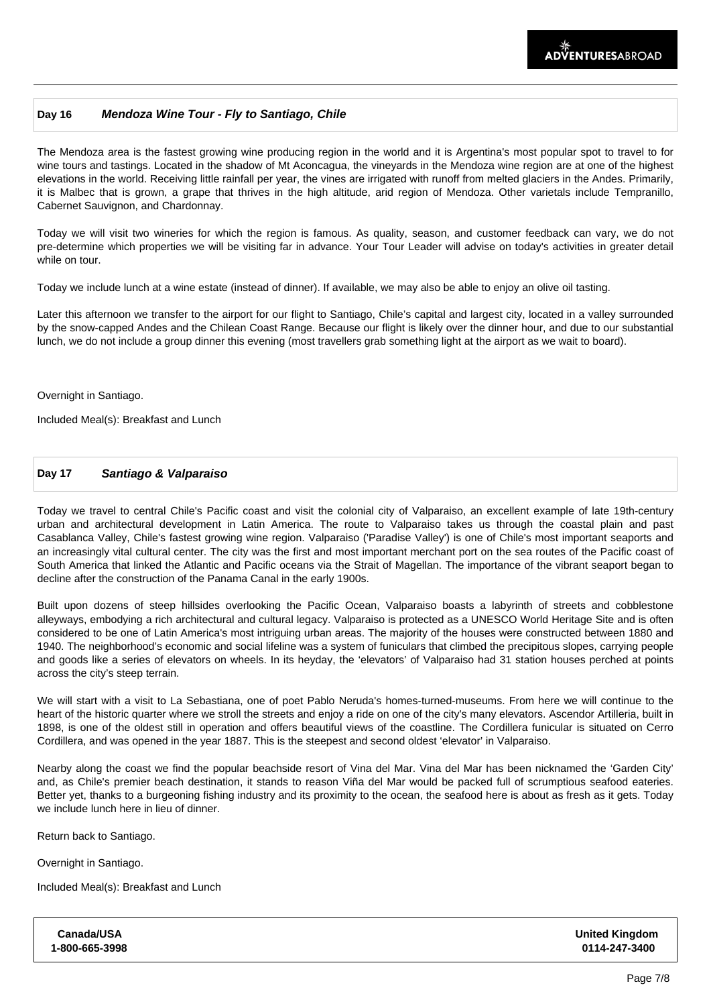## **Day 16 Mendoza Wine Tour - Fly to Santiago, Chile**

The Mendoza area is the fastest growing wine producing region in the world and it is Argentina's most popular spot to travel to for wine tours and tastings. Located in the shadow of Mt Aconcagua, the vineyards in the Mendoza wine region are at one of the highest elevations in the world. Receiving little rainfall per year, the vines are irrigated with runoff from melted glaciers in the Andes. Primarily, it is Malbec that is grown, a grape that thrives in the high altitude, arid region of Mendoza. Other varietals include Tempranillo, Cabernet Sauvignon, and Chardonnay.

Today we will visit two wineries for which the region is famous. As quality, season, and customer feedback can vary, we do not pre-determine which properties we will be visiting far in advance. Your Tour Leader will advise on today's activities in greater detail while on tour.

Today we include lunch at a wine estate (instead of dinner). If available, we may also be able to enjoy an olive oil tasting.

Later this afternoon we transfer to the airport for our flight to Santiago, Chile's capital and largest city, located in a valley surrounded by the snow-capped Andes and the Chilean Coast Range. Because our flight is likely over the dinner hour, and due to our substantial lunch, we do not include a group dinner this evening (most travellers grab something light at the airport as we wait to board).

Overnight in Santiago.

Included Meal(s): Breakfast and Lunch

#### **Day 17 Santiago & Valparaiso**

Today we travel to central Chile's Pacific coast and visit the colonial city of Valparaiso, an excellent example of late 19th-century urban and architectural development in Latin America. The route to Valparaiso takes us through the coastal plain and past Casablanca Valley, Chile's fastest growing wine region. Valparaiso ('Paradise Valley') is one of Chile's most important seaports and an increasingly vital cultural center. The city was the first and most important merchant port on the sea routes of the Pacific coast of South America that linked the Atlantic and Pacific oceans via the Strait of Magellan. The importance of the vibrant seaport began to decline after the construction of the Panama Canal in the early 1900s.

Built upon dozens of steep hillsides overlooking the Pacific Ocean, Valparaiso boasts a labyrinth of streets and cobblestone alleyways, embodying a rich architectural and cultural legacy. Valparaiso is protected as a UNESCO World Heritage Site and is often considered to be one of Latin America's most intriguing urban areas. The majority of the houses were constructed between 1880 and 1940. The neighborhood's economic and social lifeline was a system of funiculars that climbed the precipitous slopes, carrying people and goods like a series of elevators on wheels. In its heyday, the 'elevators' of Valparaiso had 31 station houses perched at points across the city's steep terrain.

We will start with a visit to La Sebastiana, one of poet Pablo Neruda's homes-turned-museums. From here we will continue to the heart of the historic quarter where we stroll the streets and enjoy a ride on one of the city's many elevators. Ascendor Artilleria, built in 1898, is one of the oldest still in operation and offers beautiful views of the coastline. The Cordillera funicular is situated on Cerro Cordillera, and was opened in the year 1887. This is the steepest and second oldest 'elevator' in Valparaiso.

Nearby along the coast we find the popular beachside resort of Vina del Mar. Vina del Mar has been nicknamed the 'Garden City' and, as Chile's premier beach destination, it stands to reason Viña del Mar would be packed full of scrumptious seafood eateries. Better yet, thanks to a burgeoning fishing industry and its proximity to the ocean, the seafood here is about as fresh as it gets. Today we include lunch here in lieu of dinner.

Return back to Santiago.

Overnight in Santiago.

Included Meal(s): Breakfast and Lunch

**Canada/USA 1-800-665-3998** **United Kingdom 0114-247-3400**